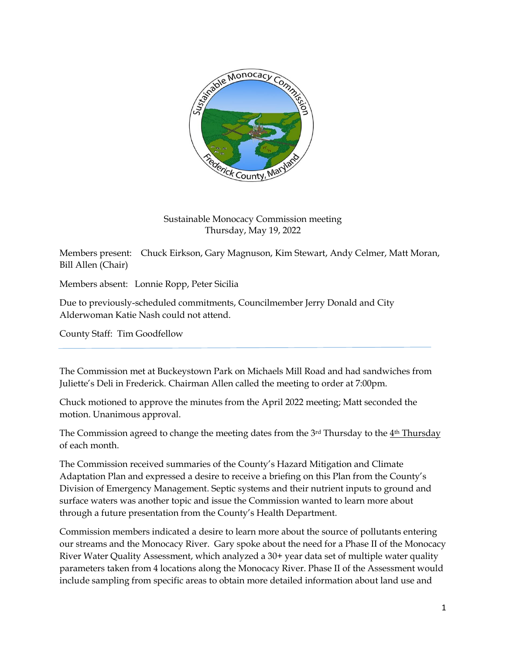

## Sustainable Monocacy Commission meeting Thursday, May 19, 2022

Members present: Chuck Eirkson, Gary Magnuson, Kim Stewart, Andy Celmer, Matt Moran, Bill Allen (Chair)

Members absent: Lonnie Ropp, Peter Sicilia

Due to previously-scheduled commitments, Councilmember Jerry Donald and City Alderwoman Katie Nash could not attend.

County Staff: Tim Goodfellow

The Commission met at Buckeystown Park on Michaels Mill Road and had sandwiches from Juliette's Deli in Frederick. Chairman Allen called the meeting to order at 7:00pm.

Chuck motioned to approve the minutes from the April 2022 meeting; Matt seconded the motion. Unanimous approval.

The Commission agreed to change the meeting dates from the 3rd Thursday to the 4th Thursday of each month.

The Commission received summaries of the County's Hazard Mitigation and Climate Adaptation Plan and expressed a desire to receive a briefing on this Plan from the County's Division of Emergency Management. Septic systems and their nutrient inputs to ground and surface waters was another topic and issue the Commission wanted to learn more about through a future presentation from the County's Health Department.

Commission members indicated a desire to learn more about the source of pollutants entering our streams and the Monocacy River. Gary spoke about the need for a Phase II of the Monocacy River Water Quality Assessment, which analyzed a 30+ year data set of multiple water quality parameters taken from 4 locations along the Monocacy River. Phase II of the Assessment would include sampling from specific areas to obtain more detailed information about land use and